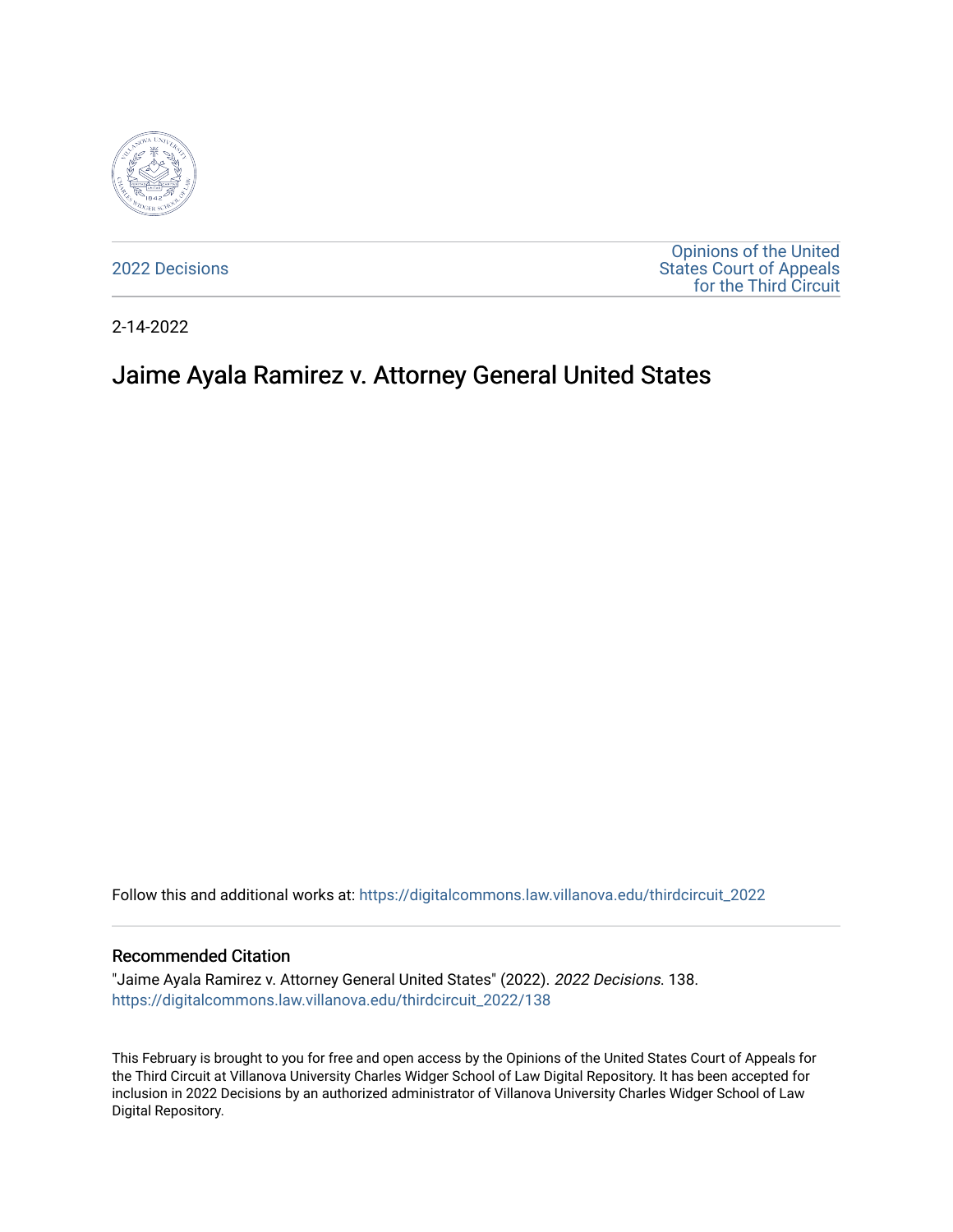

[2022 Decisions](https://digitalcommons.law.villanova.edu/thirdcircuit_2022)

[Opinions of the United](https://digitalcommons.law.villanova.edu/thirdcircuit)  [States Court of Appeals](https://digitalcommons.law.villanova.edu/thirdcircuit)  [for the Third Circuit](https://digitalcommons.law.villanova.edu/thirdcircuit) 

2-14-2022

# Jaime Ayala Ramirez v. Attorney General United States

Follow this and additional works at: [https://digitalcommons.law.villanova.edu/thirdcircuit\\_2022](https://digitalcommons.law.villanova.edu/thirdcircuit_2022?utm_source=digitalcommons.law.villanova.edu%2Fthirdcircuit_2022%2F138&utm_medium=PDF&utm_campaign=PDFCoverPages) 

#### Recommended Citation

"Jaime Ayala Ramirez v. Attorney General United States" (2022). 2022 Decisions. 138. [https://digitalcommons.law.villanova.edu/thirdcircuit\\_2022/138](https://digitalcommons.law.villanova.edu/thirdcircuit_2022/138?utm_source=digitalcommons.law.villanova.edu%2Fthirdcircuit_2022%2F138&utm_medium=PDF&utm_campaign=PDFCoverPages)

This February is brought to you for free and open access by the Opinions of the United States Court of Appeals for the Third Circuit at Villanova University Charles Widger School of Law Digital Repository. It has been accepted for inclusion in 2022 Decisions by an authorized administrator of Villanova University Charles Widger School of Law Digital Repository.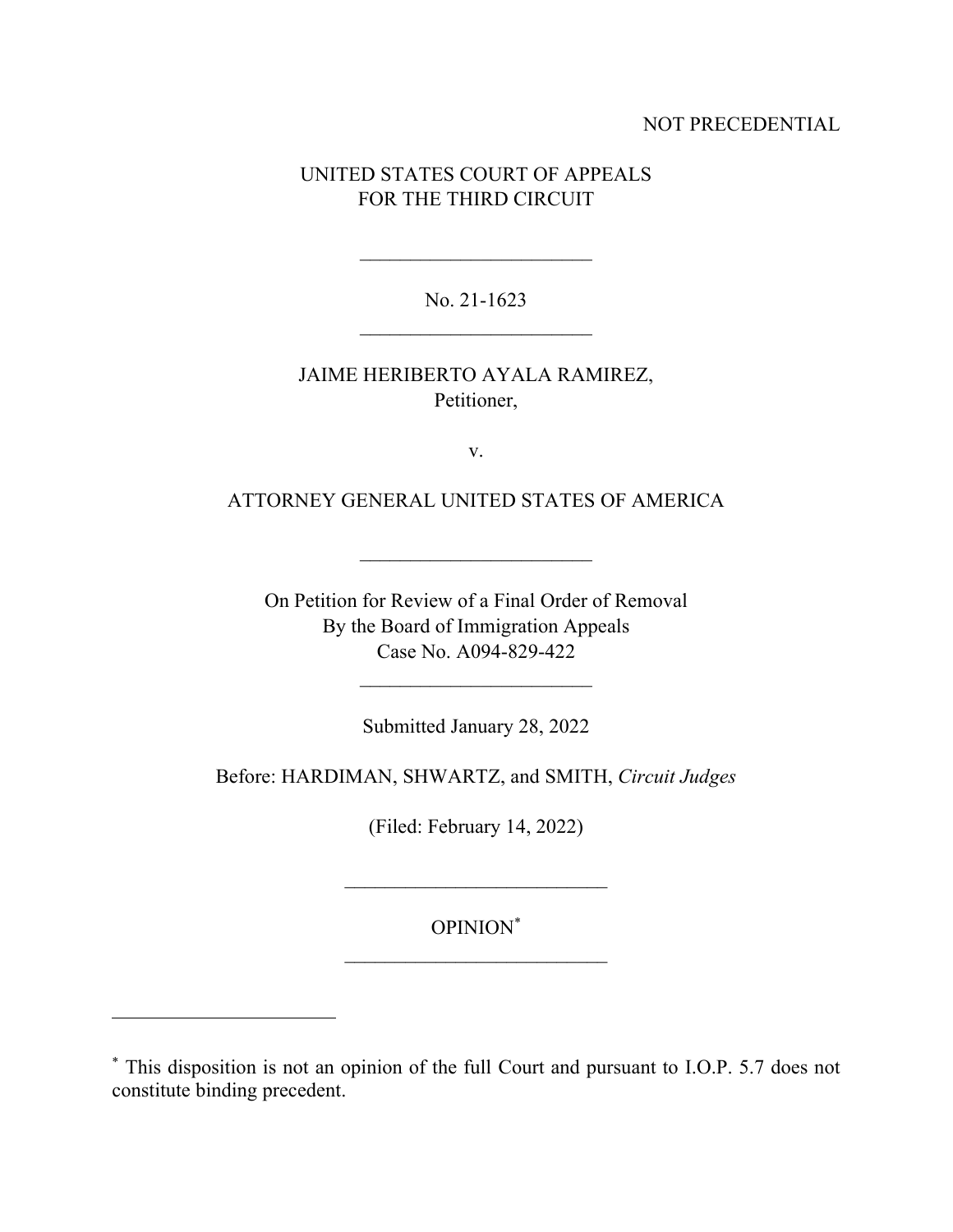### NOT PRECEDENTIAL

## UNITED STATES COURT OF APPEALS FOR THE THIRD CIRCUIT

No. 21-1623  $\frac{1}{2}$  ,  $\frac{1}{2}$  ,  $\frac{1}{2}$  ,  $\frac{1}{2}$  ,  $\frac{1}{2}$  ,  $\frac{1}{2}$  ,  $\frac{1}{2}$  ,  $\frac{1}{2}$  ,  $\frac{1}{2}$  ,  $\frac{1}{2}$  ,  $\frac{1}{2}$  ,  $\frac{1}{2}$  ,  $\frac{1}{2}$  ,  $\frac{1}{2}$  ,  $\frac{1}{2}$  ,  $\frac{1}{2}$  ,  $\frac{1}{2}$  ,  $\frac{1}{2}$  ,  $\frac{1$ 

JAIME HERIBERTO AYALA RAMIREZ, Petitioner,

v.

ATTORNEY GENERAL UNITED STATES OF AMERICA

On Petition for Review of a Final Order of Removal By the Board of Immigration Appeals Case No. A094-829-422

Submitted January 28, 2022

Before: HARDIMAN, SHWARTZ, and SMITH, *Circuit Judges*

(Filed: February 14, 2022)

OPINION\*

<sup>\*</sup> This disposition is not an opinion of the full Court and pursuant to I.O.P. 5.7 does not constitute binding precedent.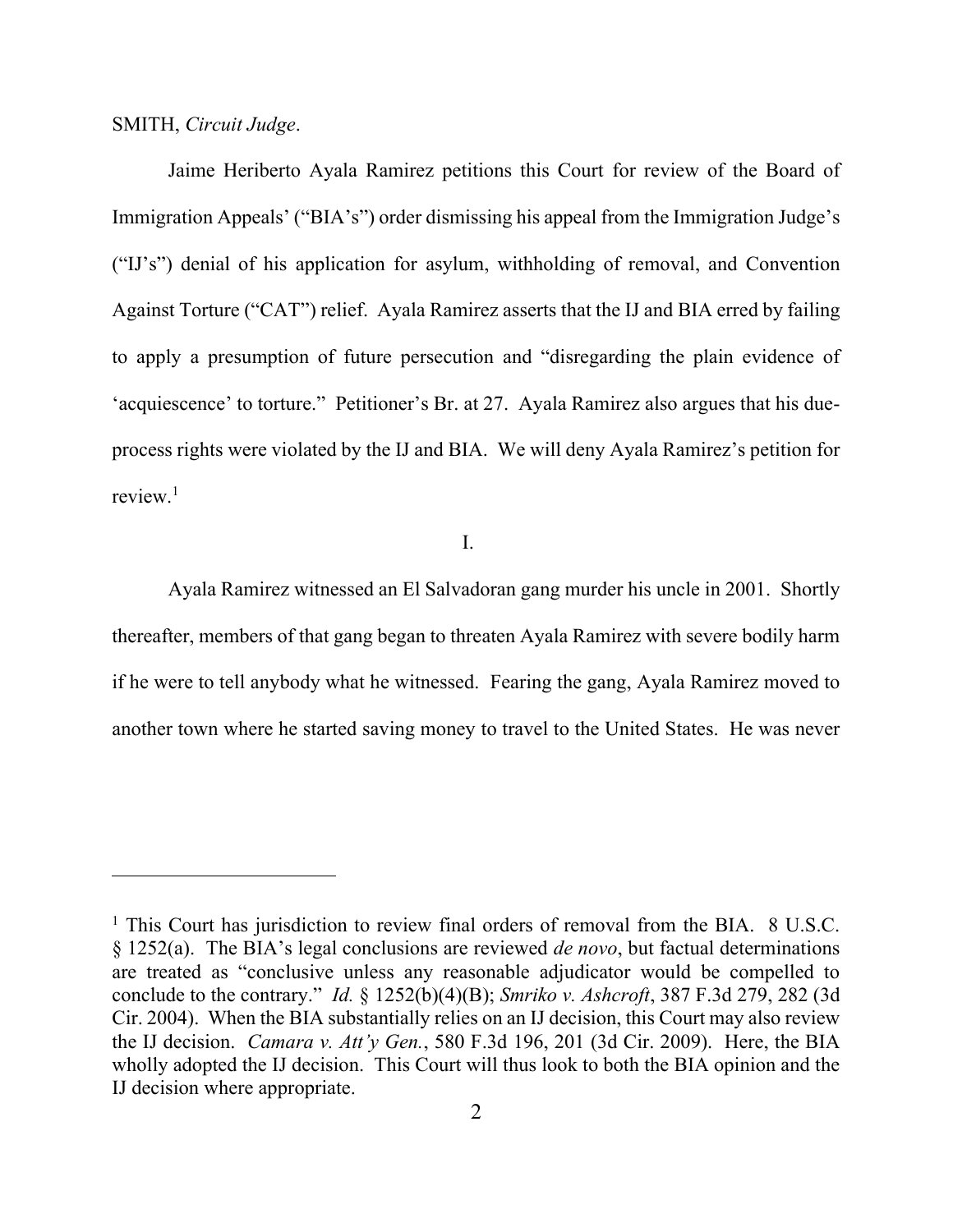SMITH, *Circuit Judge*.

Jaime Heriberto Ayala Ramirez petitions this Court for review of the Board of Immigration Appeals' ("BIA's") order dismissing his appeal from the Immigration Judge's ("IJ's") denial of his application for asylum, withholding of removal, and Convention Against Torture ("CAT") relief. Ayala Ramirez asserts that the IJ and BIA erred by failing to apply a presumption of future persecution and "disregarding the plain evidence of 'acquiescence' to torture." Petitioner's Br. at 27. Ayala Ramirez also argues that his dueprocess rights were violated by the IJ and BIA. We will deny Ayala Ramirez's petition for review.<sup>1</sup>

### I.

Ayala Ramirez witnessed an El Salvadoran gang murder his uncle in 2001. Shortly thereafter, members of that gang began to threaten Ayala Ramirez with severe bodily harm if he were to tell anybody what he witnessed. Fearing the gang, Ayala Ramirez moved to another town where he started saving money to travel to the United States. He was never

 $1$  This Court has jurisdiction to review final orders of removal from the BIA. 8 U.S.C. § 1252(a). The BIA's legal conclusions are reviewed *de novo*, but factual determinations are treated as "conclusive unless any reasonable adjudicator would be compelled to conclude to the contrary." *Id.* § 1252(b)(4)(B); *Smriko v. Ashcroft*, 387 F.3d 279, 282 (3d Cir. 2004). When the BIA substantially relies on an IJ decision, this Court may also review the IJ decision. *Camara v. Att'y Gen.*, 580 F.3d 196, 201 (3d Cir. 2009). Here, the BIA wholly adopted the IJ decision. This Court will thus look to both the BIA opinion and the IJ decision where appropriate.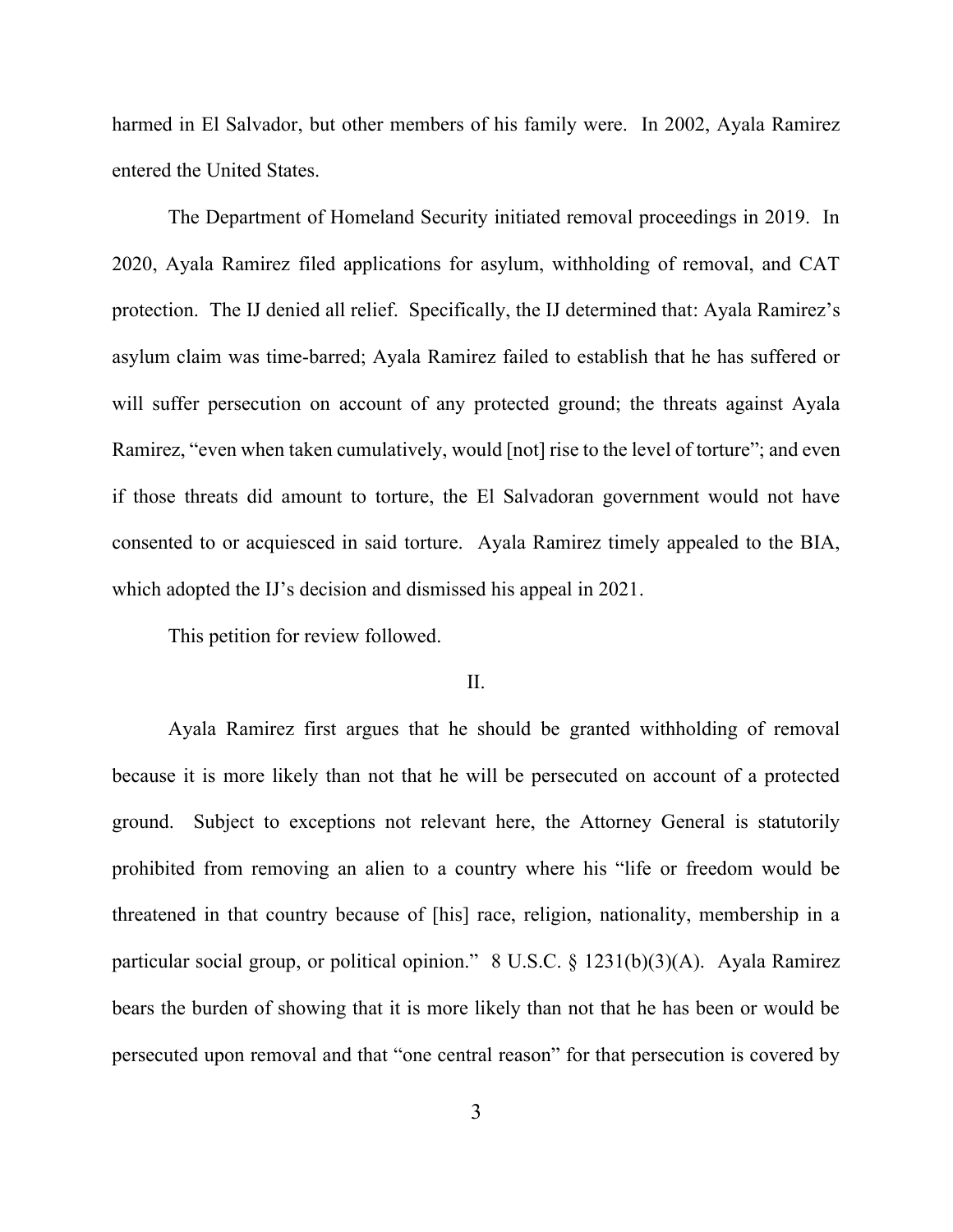harmed in El Salvador, but other members of his family were. In 2002, Ayala Ramirez entered the United States.

The Department of Homeland Security initiated removal proceedings in 2019. In 2020, Ayala Ramirez filed applications for asylum, withholding of removal, and CAT protection. The IJ denied all relief. Specifically, the IJ determined that: Ayala Ramirez's asylum claim was time-barred; Ayala Ramirez failed to establish that he has suffered or will suffer persecution on account of any protected ground; the threats against Ayala Ramirez, "even when taken cumulatively, would [not] rise to the level of torture"; and even if those threats did amount to torture, the El Salvadoran government would not have consented to or acquiesced in said torture. Ayala Ramirez timely appealed to the BIA, which adopted the IJ's decision and dismissed his appeal in 2021.

This petition for review followed.

### II.

Ayala Ramirez first argues that he should be granted withholding of removal because it is more likely than not that he will be persecuted on account of a protected ground. Subject to exceptions not relevant here, the Attorney General is statutorily prohibited from removing an alien to a country where his "life or freedom would be threatened in that country because of [his] race, religion, nationality, membership in a particular social group, or political opinion." 8 U.S.C. § 1231(b)(3)(A). Ayala Ramirez bears the burden of showing that it is more likely than not that he has been or would be persecuted upon removal and that "one central reason" for that persecution is covered by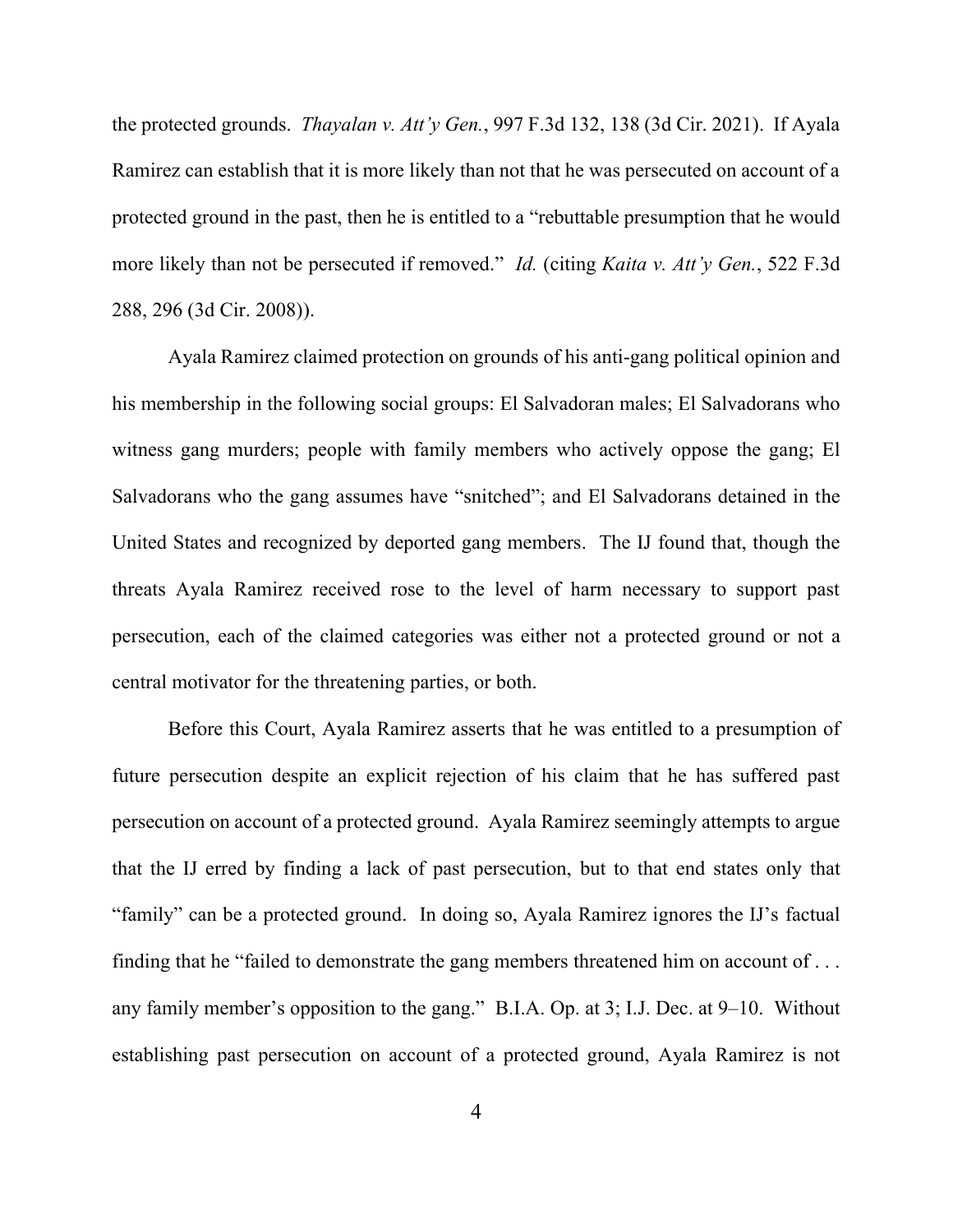the protected grounds. *Thayalan v. Att'y Gen.*, 997 F.3d 132, 138 (3d Cir. 2021). If Ayala Ramirez can establish that it is more likely than not that he was persecuted on account of a protected ground in the past, then he is entitled to a "rebuttable presumption that he would more likely than not be persecuted if removed." *Id.* (citing *Kaita v. Att'y Gen.*, 522 F.3d 288, 296 (3d Cir. 2008)).

Ayala Ramirez claimed protection on grounds of his anti-gang political opinion and his membership in the following social groups: El Salvadoran males; El Salvadorans who witness gang murders; people with family members who actively oppose the gang; El Salvadorans who the gang assumes have "snitched"; and El Salvadorans detained in the United States and recognized by deported gang members. The IJ found that, though the threats Ayala Ramirez received rose to the level of harm necessary to support past persecution, each of the claimed categories was either not a protected ground or not a central motivator for the threatening parties, or both.

Before this Court, Ayala Ramirez asserts that he was entitled to a presumption of future persecution despite an explicit rejection of his claim that he has suffered past persecution on account of a protected ground. Ayala Ramirez seemingly attempts to argue that the IJ erred by finding a lack of past persecution, but to that end states only that "family" can be a protected ground. In doing so, Ayala Ramirez ignores the IJ's factual finding that he "failed to demonstrate the gang members threatened him on account of . . . any family member's opposition to the gang." B.I.A. Op. at 3; I.J. Dec. at 9–10. Without establishing past persecution on account of a protected ground, Ayala Ramirez is not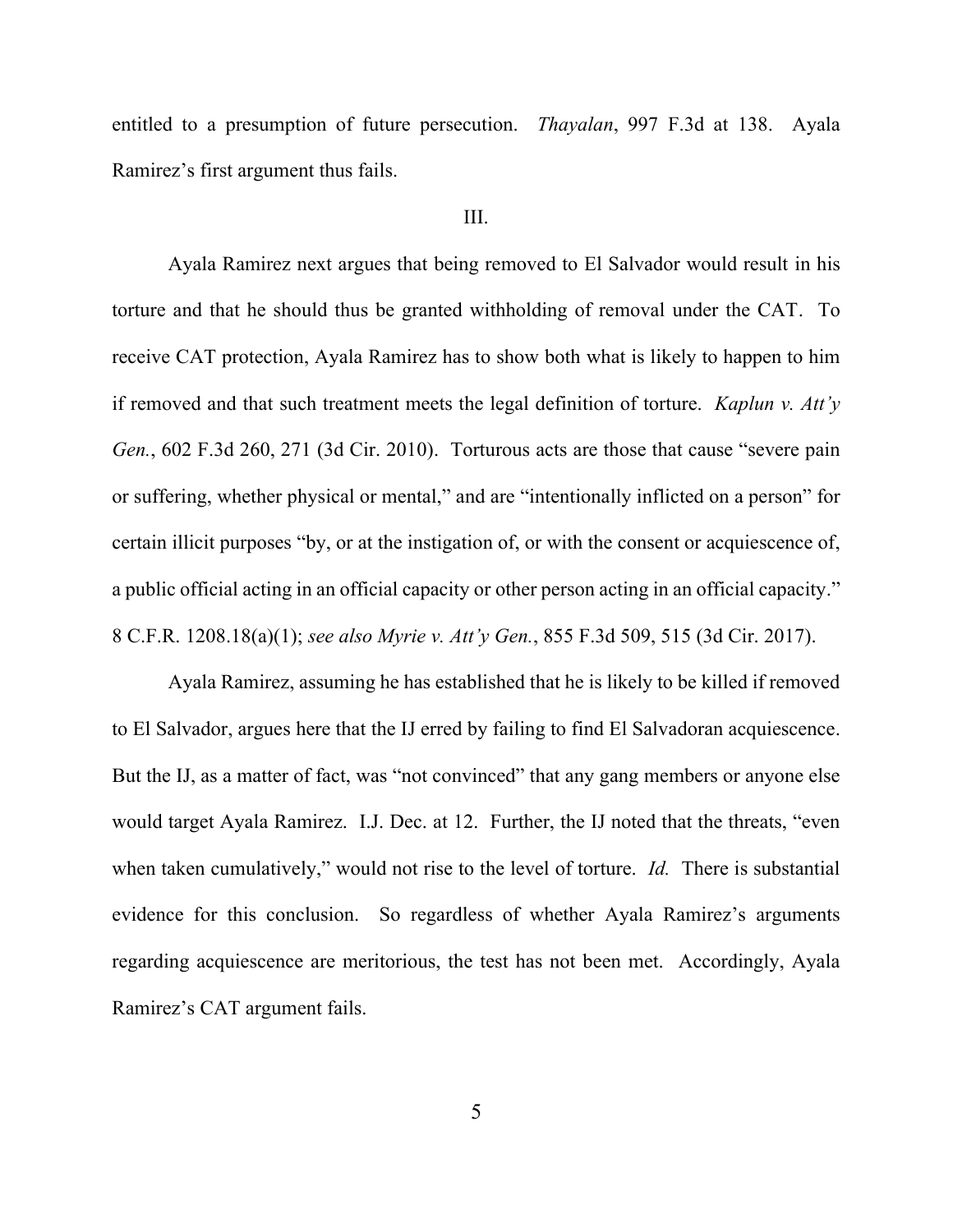entitled to a presumption of future persecution. *Thayalan*, 997 F.3d at 138. Ayala Ramirez's first argument thus fails.

#### III.

Ayala Ramirez next argues that being removed to El Salvador would result in his torture and that he should thus be granted withholding of removal under the CAT. To receive CAT protection, Ayala Ramirez has to show both what is likely to happen to him if removed and that such treatment meets the legal definition of torture. *Kaplun v. Att'y Gen.*, 602 F.3d 260, 271 (3d Cir. 2010). Torturous acts are those that cause "severe pain or suffering, whether physical or mental," and are "intentionally inflicted on a person" for certain illicit purposes "by, or at the instigation of, or with the consent or acquiescence of, a public official acting in an official capacity or other person acting in an official capacity." 8 C.F.R. 1208.18(a)(1); *see also Myrie v. Att'y Gen.*, 855 F.3d 509, 515 (3d Cir. 2017).

Ayala Ramirez, assuming he has established that he is likely to be killed if removed to El Salvador, argues here that the IJ erred by failing to find El Salvadoran acquiescence. But the IJ, as a matter of fact, was "not convinced" that any gang members or anyone else would target Ayala Ramirez. I.J. Dec. at 12.Further, the IJ noted that the threats, "even when taken cumulatively," would not rise to the level of torture. *Id.* There is substantial evidence for this conclusion. So regardless of whether Ayala Ramirez's arguments regarding acquiescence are meritorious, the test has not been met. Accordingly, Ayala Ramirez's CAT argument fails.